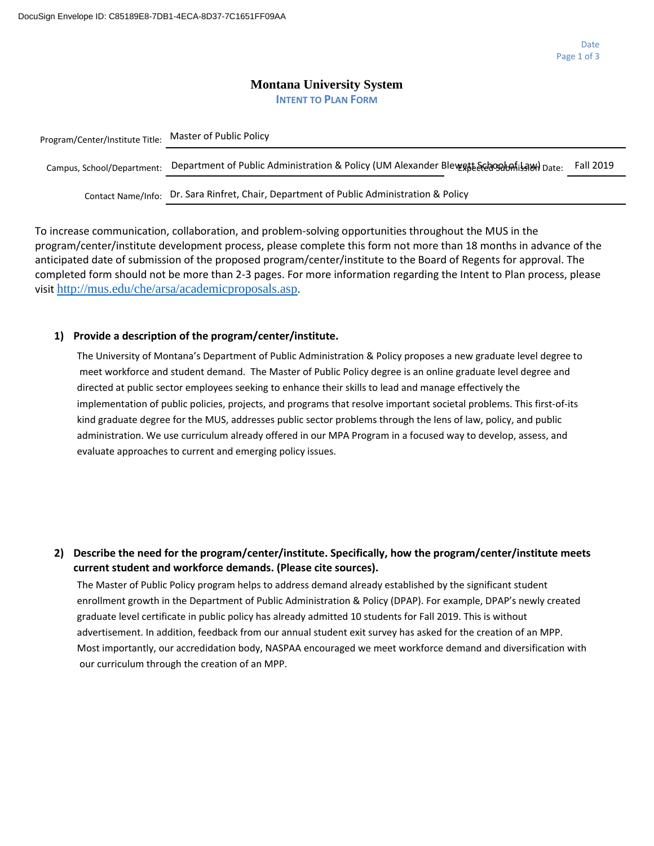## **Montana University System INTENT TO PLAN FORM**

| Program/Center/Institute Title: | Master of Public Policy                                                                  |                  |
|---------------------------------|------------------------------------------------------------------------------------------|------------------|
| Campus, School/Department:      | Department of Public Administration & Policy (UM Alexander Blewest Schoolonission) Date: | <b>Fall 2019</b> |
|                                 | Contact Name/Info: Dr. Sara Rinfret, Chair, Department of Public Administration & Policy |                  |

To increase communication, collaboration, and problem-solving opportunities throughout the MUS in the program/center/institute development process, please complete this form not more than 18 months in advance of the anticipated date of submission of the proposed program/center/institute to the Board of Regents for approval. The completed form should not be more than 2-3 pages. For more information regarding the Intent to Plan process, please visit <http://mus.edu/che/arsa/academicproposals.asp>.

## **1) Provide a description of the program/center/institute.**

The University of Montana's Department of Public Administration & Policy proposes a new graduate level degree to meet workforce and student demand. The Master of Public Policy degree is an online graduate level degree and directed at public sector employees seeking to enhance their skills to lead and manage effectively the implementation of public policies, projects, and programs that resolve important societal problems. This first-of-its kind graduate degree for the MUS, addresses public sector problems through the lens of law, policy, and public administration. We use curriculum already offered in our MPA Program in a focused way to develop, assess, and evaluate approaches to current and emerging policy issues.

**2) Describe the need for the program/center/institute. Specifically, how the program/center/institute meets current student and workforce demands. (Please cite sources).**

The Master of Public Policy program helps to address demand already established by the significant student enrollment growth in the Department of Public Administration & Policy (DPAP). For example, DPAP's newly created graduate level certificate in public policy has already admitted 10 students for Fall 2019. This is without advertisement. In addition, feedback from our annual student exit survey has asked for the creation of an MPP. Most importantly, our accredidation body, NASPAA encouraged we meet workforce demand and diversification with our curriculum through the creation of an MPP.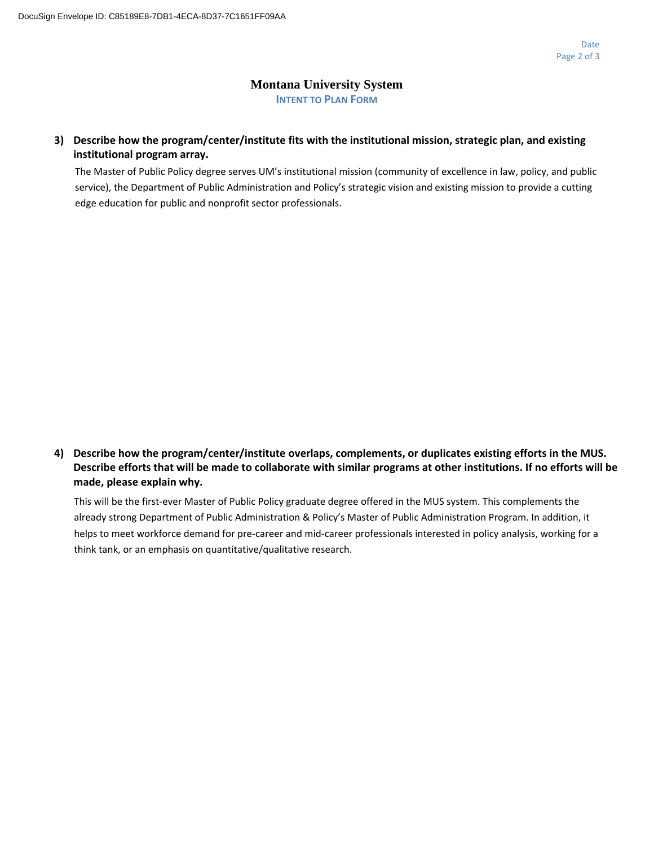## **Montana University System INTENT TO PLAN FORM**

**3) Describe how the program/center/institute fits with the institutional mission, strategic plan, and existing institutional program array.**

The Master of Public Policy degree serves UM's institutional mission (community of excellence in law, policy, and public service), the Department of Public Administration and Policy's strategic vision and existing mission to provide a cutting edge education for public and nonprofit sector professionals.

**4) Describe how the program/center/institute overlaps, complements, or duplicates existing efforts in the MUS. Describe efforts that will be made to collaborate with similar programs at other institutions. If no efforts will be made, please explain why.**

This will be the first-ever Master of Public Policy graduate degree offered in the MUS system. This complements the already strong Department of Public Administration & Policy's Master of Public Administration Program. In addition, it helps to meet workforce demand for pre-career and mid-career professionals interested in policy analysis, working for a think tank, or an emphasis on quantitative/qualitative research.